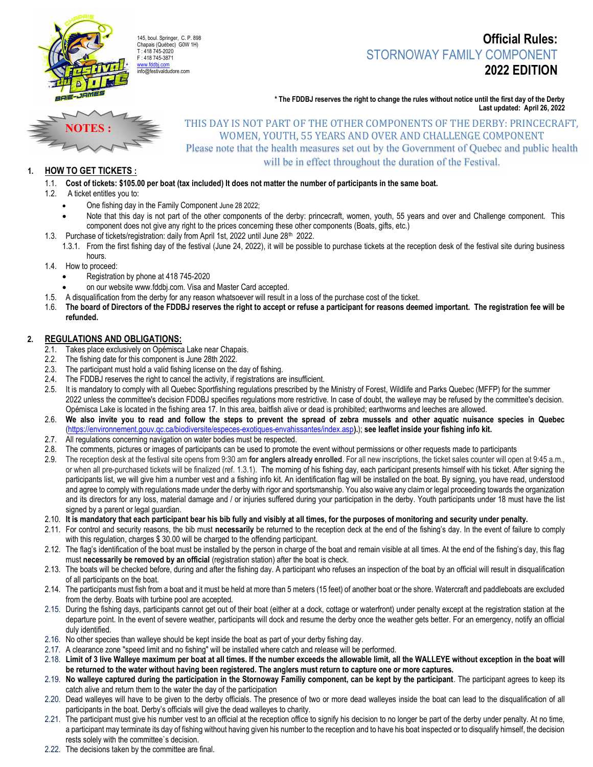

## Official Rules: STORNOWAY FAMILY COMPONENT 2022 EDITION

\* The FDDBJ reserves the right to change the rules without notice until the first day of the Derby Last updated: April 26, 2022



# THIS DAY IS NOT PART OF THE OTHER COMPONENTS OF THE DERBY: PRINCECRAFT, WOMEN, YOUTH, 55 YEARS AND OVER AND CHALLENGE COMPONENT

Please note that the health measures set out by the Government of Quebec and public health will be in effect throughout the duration of the Festival.

## 1. HOW TO GET TICKETS :

### 1.1. Cost of tickets: \$105.00 per boat (tax included) It does not matter the number of participants in the same boat.

- 1.2. A ticket entitles you to:
	- One fishing day in the Family Component June 28 2022;
	- Note that this day is not part of the other components of the derby: princecraft, women, youth, 55 years and over and Challenge component. This component does not give any right to the prices concerning these other components (Boats, gifts, etc.)
- 1.3. Purchase of tickets/registration: daily from April 1st, 2022 until June 28<sup>th</sup> 2022.
	- 1.3.1. From the first fishing day of the festival (June 24, 2022), it will be possible to purchase tickets at the reception desk of the festival site during business hours.
- 1.4. How to proceed:
	- Registration by phone at 418 745-2020
	- on our website www.fddbj.com. Visa and Master Card accepted.
- 1.5. A disqualification from the derby for any reason whatsoever will result in a loss of the purchase cost of the ticket.
- 1.6. The board of Directors of the FDDBJ reserves the right to accept or refuse a participant for reasons deemed important. The registration fee will be refunded.

#### 2. REGULATIONS AND OBLIGATIONS:

- 2.1. Takes place exclusively on Opémisca Lake near Chapais.
- 2.2. The fishing date for this component is June 28th 2022.
- 2.3. The participant must hold a valid fishing license on the day of fishing.
- 2.4. The FDDBJ reserves the right to cancel the activity, if registrations are insufficient.<br>2.5. It is mandatory to comply with all Quebec Sportfishing regulations prescribed by the
- It is mandatory to comply with all Quebec Sportfishing regulations prescribed by the Ministry of Forest, Wildlife and Parks Quebec (MFFP) for the summer 2022 unless the committee's decision FDDBJ specifies regulations more restrictive. In case of doubt, the walleye may be refused by the committee's decision. Opémisca Lake is located in the fishing area 17. In this area, baitfish alive or dead is prohibited; earthworms and leeches are allowed.
- 2.6. We also invite you to read and follow the steps to prevent the spread of zebra mussels and other aquatic nuisance species in Quebec (https://environnement.gouv.qc.ca/biodiversite/especes-exotiques-envahissantes/index.asp).); see leaflet inside your fishing info kit.
- 2.7. All regulations concerning navigation on water bodies must be respected.
- 2.8. The comments, pictures or images of participants can be used to promote the event without permissions or other requests made to participants
- 2.9. The reception desk at the festival site opens from 9:30 am for anglers already enrolled. For all new inscriptions, the ticket sales counter will open at 9:45 a.m., or when all pre-purchased tickets will be finalized (ref. 1.3.1). The morning of his fishing day, each participant presents himself with his ticket. After signing the participants list, we will give him a number vest and a fishing info kit. An identification flag will be installed on the boat. By signing, you have read, understood and agree to comply with regulations made under the derby with rigor and sportsmanship. You also waive any claim or legal proceeding towards the organization and its directors for any loss, material damage and / or injuries suffered during your participation in the derby. Youth participants under 18 must have the list signed by a parent or legal guardian.
- 2.10. It is mandatory that each participant bear his bib fully and visibly at all times, for the purposes of monitoring and security under penalty.
- 2.11. For control and security reasons, the bib must necessarily be returned to the reception deck at the end of the fishing's day. In the event of failure to comply with this regulation, charges \$30.00 will be charged to the offending participant.
- 2.12. The flag's identification of the boat must be installed by the person in charge of the boat and remain visible at all times. At the end of the fishing's day, this flag must necessarily be removed by an official (registration station) after the boat is check.
- 2.13. The boats will be checked before, during and after the fishing day. A participant who refuses an inspection of the boat by an official will result in disqualification of all participants on the boat.
- 2.14. The participants must fish from a boat and it must be held at more than 5 meters (15 feet) of another boat or the shore. Watercraft and paddleboats are excluded from the derby. Boats with turbine pool are accepted.
- 2.15. During the fishing days, participants cannot get out of their boat (either at a dock, cottage or waterfront) under penalty except at the registration station at the departure point. In the event of severe weather, participants will dock and resume the derby once the weather gets better. For an emergency, notify an official duly identified.
- 2.16. No other species than walleye should be kept inside the boat as part of your derby fishing day.
- 2.17. A clearance zone "speed limit and no fishing" will be installed where catch and release will be performed.
- 2.18. Limit of 3 live Walleye maximum per boat at all times. If the number exceeds the allowable limit, all the WALLEYE without exception in the boat will be returned to the water without having been registered. The anglers must return to capture one or more captures.
- 2.19. No walleye captured during the participation in the Stornoway Familiy component, can be kept by the participant. The participant agrees to keep its catch alive and return them to the water the day of the participation
- 2.20. Dead walleyes will have to be given to the derby officials. The presence of two or more dead walleyes inside the boat can lead to the disqualification of all participants in the boat. Derby's officials will give the dead walleyes to charity.
- 2.21. The participant must give his number vest to an official at the reception office to signify his decision to no longer be part of the derby under penalty. At no time, a participant may terminate its day of fishing without having given his number to the reception and to have his boat inspected or to disqualify himself, the decision rests solely with the committee`s decision.
- 2.22. The decisions taken by the committee are final.